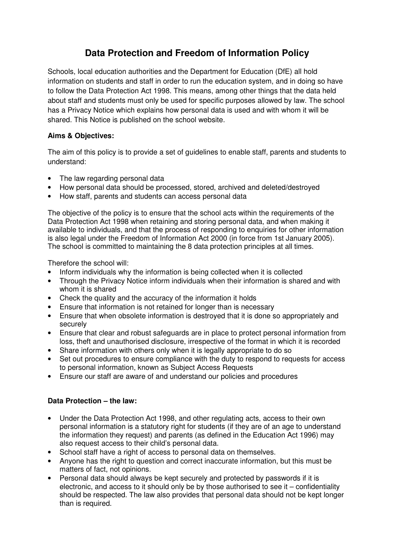# **Data Protection and Freedom of Information Policy**

Schools, local education authorities and the Department for Education (DfE) all hold information on students and staff in order to run the education system, and in doing so have to follow the Data Protection Act 1998. This means, among other things that the data held about staff and students must only be used for specific purposes allowed by law. The school has a Privacy Notice which explains how personal data is used and with whom it will be shared. This Notice is published on the school website.

### **Aims & Objectives:**

The aim of this policy is to provide a set of guidelines to enable staff, parents and students to understand:

- The law regarding personal data
- How personal data should be processed, stored, archived and deleted/destroyed
- How staff, parents and students can access personal data

The objective of the policy is to ensure that the school acts within the requirements of the Data Protection Act 1998 when retaining and storing personal data, and when making it available to individuals, and that the process of responding to enquiries for other information is also legal under the Freedom of Information Act 2000 (in force from 1st January 2005). The school is committed to maintaining the 8 data protection principles at all times.

Therefore the school will:

- Inform individuals why the information is being collected when it is collected
- Through the Privacy Notice inform individuals when their information is shared and with whom it is shared
- Check the quality and the accuracy of the information it holds
- Ensure that information is not retained for longer than is necessary
- Ensure that when obsolete information is destroved that it is done so appropriately and securely
- Ensure that clear and robust safeguards are in place to protect personal information from loss, theft and unauthorised disclosure, irrespective of the format in which it is recorded
- Share information with others only when it is legally appropriate to do so
- Set out procedures to ensure compliance with the duty to respond to requests for access to personal information, known as Subject Access Requests
- Ensure our staff are aware of and understand our policies and procedures

### **Data Protection – the law:**

- Under the Data Protection Act 1998, and other regulating acts, access to their own personal information is a statutory right for students (if they are of an age to understand the information they request) and parents (as defined in the Education Act 1996) may also request access to their child's personal data.
- School staff have a right of access to personal data on themselves.
- Anyone has the right to question and correct inaccurate information, but this must be matters of fact, not opinions.
- Personal data should always be kept securely and protected by passwords if it is electronic, and access to it should only be by those authorised to see it – confidentiality should be respected. The law also provides that personal data should not be kept longer than is required.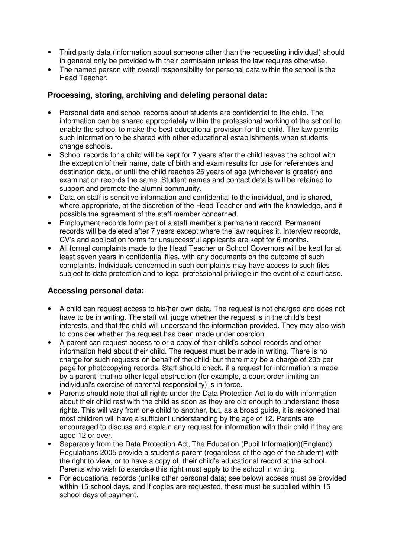- Third party data (information about someone other than the requesting individual) should in general only be provided with their permission unless the law requires otherwise.
- The named person with overall responsibility for personal data within the school is the Head Teacher.

### **Processing, storing, archiving and deleting personal data:**

- Personal data and school records about students are confidential to the child. The information can be shared appropriately within the professional working of the school to enable the school to make the best educational provision for the child. The law permits such information to be shared with other educational establishments when students change schools.
- School records for a child will be kept for 7 years after the child leaves the school with the exception of their name, date of birth and exam results for use for references and destination data, or until the child reaches 25 years of age (whichever is greater) and examination records the same. Student names and contact details will be retained to support and promote the alumni community.
- Data on staff is sensitive information and confidential to the individual, and is shared, where appropriate, at the discretion of the Head Teacher and with the knowledge, and if possible the agreement of the staff member concerned.
- Employment records form part of a staff member's permanent record. Permanent records will be deleted after 7 years except where the law requires it. Interview records, CV's and application forms for unsuccessful applicants are kept for 6 months.
- All formal complaints made to the Head Teacher or School Governors will be kept for at least seven years in confidential files, with any documents on the outcome of such complaints. Individuals concerned in such complaints may have access to such files subject to data protection and to legal professional privilege in the event of a court case.

### **Accessing personal data:**

- A child can request access to his/her own data. The request is not charged and does not have to be in writing. The staff will judge whether the request is in the child's best interests, and that the child will understand the information provided. They may also wish to consider whether the request has been made under coercion.
- A parent can request access to or a copy of their child's school records and other information held about their child. The request must be made in writing. There is no charge for such requests on behalf of the child, but there may be a charge of 20p per page for photocopying records. Staff should check, if a request for information is made by a parent, that no other legal obstruction (for example, a court order limiting an individual's exercise of parental responsibility) is in force.
- Parents should note that all rights under the Data Protection Act to do with information about their child rest with the child as soon as they are old enough to understand these rights. This will vary from one child to another, but, as a broad guide, it is reckoned that most children will have a sufficient understanding by the age of 12. Parents are encouraged to discuss and explain any request for information with their child if they are aged 12 or over.
- Separately from the Data Protection Act, The Education (Pupil Information)(England) Regulations 2005 provide a student's parent (regardless of the age of the student) with the right to view, or to have a copy of, their child's educational record at the school. Parents who wish to exercise this right must apply to the school in writing.
- For educational records (unlike other personal data; see below) access must be provided within 15 school days, and if copies are requested, these must be supplied within 15 school days of payment.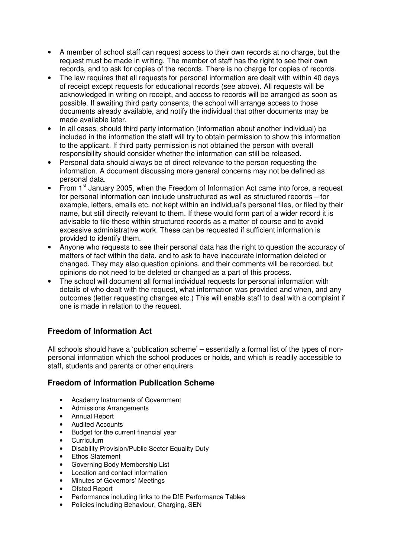- A member of school staff can request access to their own records at no charge, but the request must be made in writing. The member of staff has the right to see their own records, and to ask for copies of the records. There is no charge for copies of records.
- The law requires that all requests for personal information are dealt with within 40 days of receipt except requests for educational records (see above). All requests will be acknowledged in writing on receipt, and access to records will be arranged as soon as possible. If awaiting third party consents, the school will arrange access to those documents already available, and notify the individual that other documents may be made available later.
- In all cases, should third party information (information about another individual) be included in the information the staff will try to obtain permission to show this information to the applicant. If third party permission is not obtained the person with overall responsibility should consider whether the information can still be released.
- Personal data should always be of direct relevance to the person requesting the information. A document discussing more general concerns may not be defined as personal data.
- From  $1<sup>st</sup>$  January 2005, when the Freedom of Information Act came into force, a request for personal information can include unstructured as well as structured records – for example, letters, emails etc. not kept within an individual's personal files, or filed by their name, but still directly relevant to them. If these would form part of a wider record it is advisable to file these within structured records as a matter of course and to avoid excessive administrative work. These can be requested if sufficient information is provided to identify them.
- Anyone who requests to see their personal data has the right to question the accuracy of matters of fact within the data, and to ask to have inaccurate information deleted or changed. They may also question opinions, and their comments will be recorded, but opinions do not need to be deleted or changed as a part of this process.
- The school will document all formal individual requests for personal information with details of who dealt with the request, what information was provided and when, and any outcomes (letter requesting changes etc.) This will enable staff to deal with a complaint if one is made in relation to the request.

# **Freedom of Information Act**

All schools should have a 'publication scheme' – essentially a formal list of the types of nonpersonal information which the school produces or holds, and which is readily accessible to staff, students and parents or other enquirers.

### **Freedom of Information Publication Scheme**

- Academy Instruments of Government
- Admissions Arrangements
- Annual Report
- Audited Accounts
- Budget for the current financial year
- Curriculum
- Disability Provision/Public Sector Equality Duty
- Ethos Statement
- Governing Body Membership List
- Location and contact information
- Minutes of Governors' Meetings
- Ofsted Report
- Performance including links to the DfE Performance Tables
- Policies including Behaviour, Charging, SEN